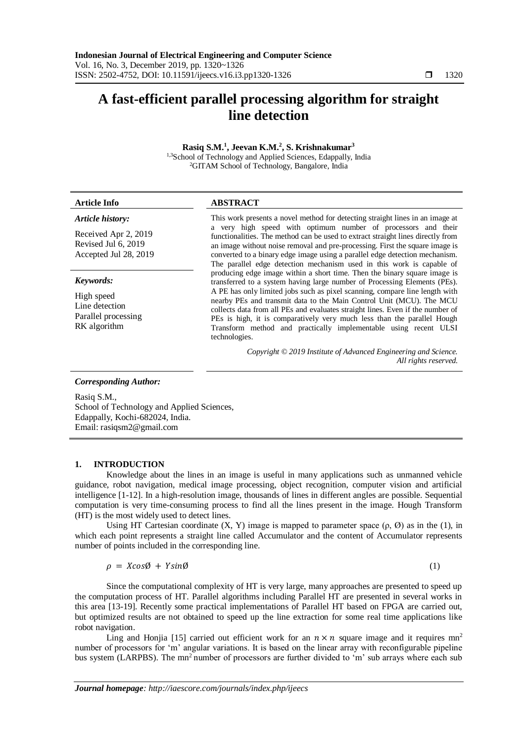# **A fast-efficient parallel processing algorithm for straight line detection**

### **Rasiq S.M.<sup>1</sup> , Jeevan K.M.<sup>2</sup> , S. Krishnakumar<sup>3</sup>**

1,3School of Technology and Applied Sciences, Edappally, India <sup>2</sup>GITAM School of Technology, Bangalore, India

| Article Inio                                                         | ABSIKAUI                                                                                                                                                                                                                                                                                                        |  |  |
|----------------------------------------------------------------------|-----------------------------------------------------------------------------------------------------------------------------------------------------------------------------------------------------------------------------------------------------------------------------------------------------------------|--|--|
| Article history:                                                     | This work presents a novel method for detecting straight lines in an image at                                                                                                                                                                                                                                   |  |  |
| Received Apr 2, 2019<br>Revised Jul 6, 2019<br>Accepted Jul 28, 2019 | a very high speed with optimum number of processors and their<br>functionalities. The method can be used to extract straight lines directly from<br>an image without noise removal and pre-processing. First the square image is<br>converted to a binary edge image using a parallel edge detection mechanism. |  |  |
| Keywords:                                                            | The parallel edge detection mechanism used in this work is capable of<br>producing edge image within a short time. Then the binary square image is<br>transferred to a system having large number of Processing Elements (PEs).                                                                                 |  |  |

High speed Line detection Parallel processing RK algorithm

# **Article Info ABSTRACT**

A PE has only limited jobs such as pixel scanning, compare line length with nearby PEs and transmit data to the Main Control Unit (MCU). The MCU collects data from all PEs and evaluates straight lines. Even if the number of PEs is high, it is comparatively very much less than the parallel Hough Transform method and practically implementable using recent ULSI technologies.

> *Copyright © 2019 Institute of Advanced Engineering and Science. All rights reserved.*

#### *Corresponding Author:*

Rasiq S.M., School of Technology and Applied Sciences, Edappally, Kochi-682024, India. Email: rasiqsm2@gmail.com

## **1. INTRODUCTION**

Knowledge about the lines in an image is useful in many applications such as unmanned vehicle guidance, robot navigation, medical image processing, object recognition, computer vision and artificial intelligence [1-12]. In a high-resolution image, thousands of lines in different angles are possible. Sequential computation is very time-consuming process to find all the lines present in the image. Hough Transform (HT) is the most widely used to detect lines.

Using HT Cartesian coordinate  $(X, Y)$  image is mapped to parameter space  $(\rho, \emptyset)$  as in the (1), in which each point represents a straight line called Accumulator and the content of Accumulator represents number of points included in the corresponding line.

$$
\rho = X \cos \theta + Y \sin \theta \tag{1}
$$

Since the computational complexity of HT is very large, many approaches are presented to speed up the computation process of HT. Parallel algorithms including Parallel HT are presented in several works in this area [13-19]. Recently some practical implementations of Parallel HT based on FPGA are carried out, but optimized results are not obtained to speed up the line extraction for some real time applications like robot navigation.

Ling and Honjia [15] carried out efficient work for an  $n \times n$  square image and it requires mn<sup>2</sup> number of processors for 'm' angular variations. It is based on the linear array with reconfigurable pipeline bus system (LARPBS). The mn<sup>2</sup> number of processors are further divided to 'm' sub arrays where each sub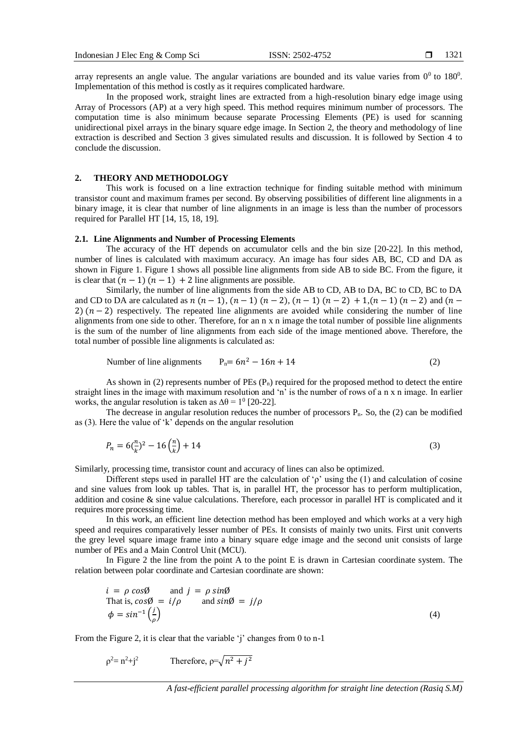array represents an angle value. The angular variations are bounded and its value varies from  $0^0$  to  $180^0$ . Implementation of this method is costly as it requires complicated hardware.

In the proposed work, straight lines are extracted from a high-resolution binary edge image using Array of Processors (AP) at a very high speed. This method requires minimum number of processors. The computation time is also minimum because separate Processing Elements (PE) is used for scanning unidirectional pixel arrays in the binary square edge image. In Section 2, the theory and methodology of line extraction is described and Section 3 gives simulated results and discussion. It is followed by Section 4 to conclude the discussion.

#### **2. THEORY AND METHODOLOGY**

This work is focused on a line extraction technique for finding suitable method with minimum transistor count and maximum frames per second. By observing possibilities of different line alignments in a binary image, it is clear that number of line alignments in an image is less than the number of processors required for Parallel HT [14, 15, 18, 19].

#### **2.1. Line Alignments and Number of Processing Elements**

The accuracy of the HT depends on accumulator cells and the bin size [20-22]. In this method, number of lines is calculated with maximum accuracy. An image has four sides AB, BC, CD and DA as shown in Figure 1. Figure 1 shows all possible line alignments from side AB to side BC. From the figure, it is clear that  $(n - 1)$   $(n - 1) + 2$  line alignments are possible.

Similarly, the number of line alignments from the side AB to CD, AB to DA, BC to CD, BC to DA and CD to DA are calculated as  $n (n - 1)$ ,  $(n - 1) (n - 2)$ ,  $(n - 1) (n - 2) + 1$ ,  $(n - 1) (n - 2)$  and  $(n - 1)$ 2)  $(n-2)$  respectively. The repeated line alignments are avoided while considering the number of line alignments from one side to other. Therefore, for an n x n image the total number of possible line alignments is the sum of the number of line alignments from each side of the image mentioned above. Therefore, the total number of possible line alignments is calculated as:

Number of line alignments 
$$
P_n = 6n^2 - 16n + 14
$$
 (2)

As shown in (2) represents number of PEs  $(P_n)$  required for the proposed method to detect the entire straight lines in the image with maximum resolution and 'n' is the number of rows of a n x n image. In earlier works, the angular resolution is taken as  $\Delta\theta = 1^0$  [20-22].

The decrease in angular resolution reduces the number of processors  $P_n$ . So, the (2) can be modified as (3). Here the value of 'k' depends on the angular resolution

$$
P_n = 6\left(\frac{n}{k}\right)^2 - 16\left(\frac{n}{k}\right) + 14\tag{3}
$$

Similarly, processing time, transistor count and accuracy of lines can also be optimized.

Different steps used in parallel HT are the calculation of 'ρ' using the (1) and calculation of cosine and sine values from look up tables. That is, in parallel HT, the processor has to perform multiplication, addition and cosine & sine value calculations. Therefore, each processor in parallel HT is complicated and it requires more processing time.

In this work, an efficient line detection method has been employed and which works at a very high speed and requires comparatively lesser number of PEs. It consists of mainly two units. First unit converts the grey level square image frame into a binary square edge image and the second unit consists of large number of PEs and a Main Control Unit (MCU).

In Figure 2 the line from the point A to the point E is drawn in Cartesian coordinate system. The relation between polar coordinate and Cartesian coordinate are shown:

$$
i = \rho \cos\theta \quad \text{and } j = \rho \sin\theta
$$
  
\nThat is,  $\cos\theta = i/\rho$  and  $\sin\theta = j/\rho$   
\n
$$
\phi = \sin^{-1}\left(\frac{j}{\rho}\right)
$$
\n(4)

From the Figure 2, it is clear that the variable 'j' changes from 0 to n-1

$$
\rho^2 = n^2 + j^2
$$
 Therefore,  $\rho = \sqrt{n^2 + j^2}$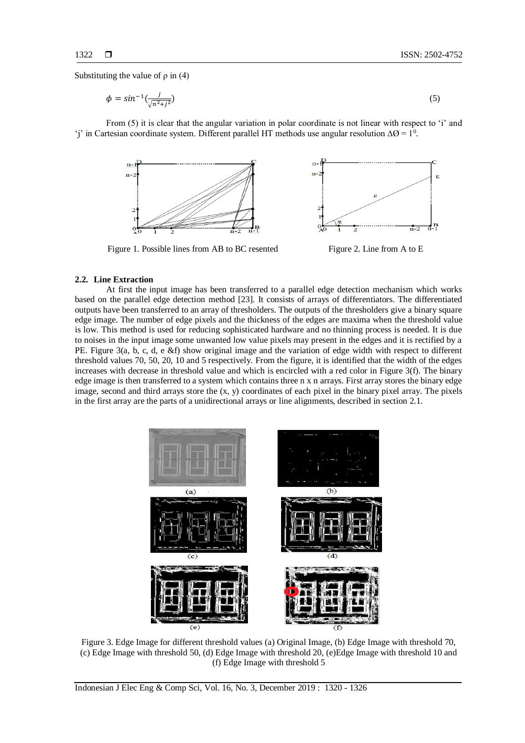Substituting the value of  $\rho$  in (4)

$$
\phi = \sin^{-1}\left(\frac{j}{\sqrt{n^2 + j^2}}\right) \tag{5}
$$

From (5) it is clear that the angular variation in polar coordinate is not linear with respect to 'i' and 'j' in Cartesian coordinate system. Different parallel HT methods use angular resolution  $\Delta\Omega = 1^0$ .



Figure 1. Possible lines from AB to BC resented Figure 2. Line from A to E



#### **2.2. Line Extraction**

At first the input image has been transferred to a parallel edge detection mechanism which works based on the parallel edge detection method [23]. It consists of arrays of differentiators. The differentiated outputs have been transferred to an array of thresholders. The outputs of the thresholders give a binary square edge image. The number of edge pixels and the thickness of the edges are maxima when the threshold value is low. This method is used for reducing sophisticated hardware and no thinning process is needed. It is due to noises in the input image some unwanted low value pixels may present in the edges and it is rectified by a PE. Figure 3(a, b, c, d, e &f) show original image and the variation of edge width with respect to different threshold values 70, 50, 20, 10 and 5 respectively. From the figure, it is identified that the width of the edges increases with decrease in threshold value and which is encircled with a red color in Figure 3(f). The binary edge image is then transferred to a system which contains three n x n arrays. First array stores the binary edge image, second and third arrays store the (x, y) coordinates of each pixel in the binary pixel array. The pixels in the first array are the parts of a unidirectional arrays or line alignments, described in section 2.1.



Figure 3. Edge Image for different threshold values (a) Original Image, (b) Edge Image with threshold 70, (c) Edge Image with threshold 50, (d) Edge Image with threshold 20, (e)Edge Image with threshold 10 and (f) Edge Image with threshold 5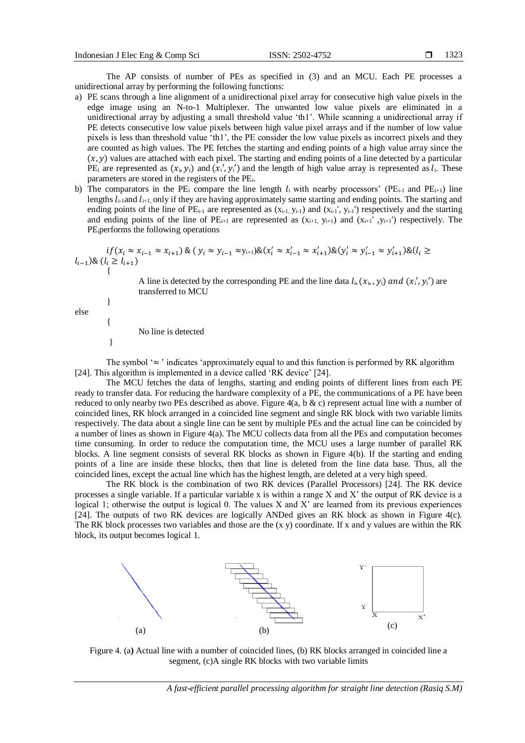The AP consists of number of PEs as specified in (3) and an MCU. Each PE processes a unidirectional array by performing the following functions:

- a) PE scans through a line alignment of a unidirectional pixel array for consecutive high value pixels in the edge image using an N-to-1 Multiplexer. The unwanted low value pixels are eliminated in a unidirectional array by adjusting a small threshold value 'th1'. While scanning a unidirectional array if PE detects consecutive low value pixels between high value pixel arrays and if the number of low value pixels is less than threshold value 'th1', the PE consider the low value pixels as incorrect pixels and they are counted as high values. The PE fetches the starting and ending points of a high value array since the  $(x, y)$  values are attached with each pixel. The starting and ending points of a line detected by a particular  $PE_i$  are represented as  $(x_i, y_i)$  and  $(x'_i, y'_i)$  and the length of high value array is represented as  $l_i$ . These parameters are stored in the registers of the PE<sub>i</sub>.
- b) The comparators in the PE<sub>i</sub> compare the line length  $l_i$  with nearby processors' (PE<sub>i-1</sub> and PE<sub>i+1</sub>) line lengths  $l_{i-1}$  and  $l_{i+1}$ , only if they are having approximately same starting and ending points. The starting and ending points of the line of  $PE_{i-1}$  are represented as  $(x_{i-1}, y_{i-1})$  and  $(x_{i-1}, y_{i-1})$  respectively and the starting and ending points of the line of  $PE_{i+1}$  are represented as  $(x_{i+1}, y_{i+1})$  and  $(x_{i+1}, y_{i+1})$  respectively. The PEiperforms the following operations

$$
\begin{aligned} &\hspace{0.1cm}if(x_i \approx x_{i-1} \approx x_{i+1}) \&\; (y_i \approx y_{i-1} \approx y_{i+1}) \&\; (x_i' \approx x_{i-1}' \approx x_{i+1}') \&\; (y_i' \approx y_{i-1}' \approx y_{i+1}') \&\; (l_i \ge l_{i+1}) \\ &\; \{ \end{aligned}
$$

A line is detected by the corresponding PE and the line data  $l_i$ ,  $(x_i, y_i)$  and  $(x'_i, y'_i)$  are transferred to MCU

else

}

{

}

No line is detected

The symbol ' $\approx$  ' indicates 'approximately equal to and this function is performed by RK algorithm [24]. This algorithm is implemented in a device called 'RK device' [24].

The MCU fetches the data of lengths, starting and ending points of different lines from each PE ready to transfer data. For reducing the hardware complexity of a PE, the communications of a PE have been reduced to only nearby two PEs described as above. Figure 4(a, b & c) represent actual line with a number of coincided lines, RK block arranged in a coincided line segment and single RK block with two variable limits respectively. The data about a single line can be sent by multiple PEs and the actual line can be coincided by a number of lines as shown in Figure 4(a). The MCU collects data from all the PEs and computation becomes time consuming. In order to reduce the computation time, the MCU uses a large number of parallel RK blocks. A line segment consists of several RK blocks as shown in Figure 4(b). If the starting and ending points of a line are inside these blocks, then that line is deleted from the line data base. Thus, all the coincided lines, except the actual line which has the highest length, are deleted at a very high speed.

The RK block is the combination of two RK devices (Parallel Processors) [24]. The RK device processes a single variable. If a particular variable x is within a range X and X' the output of RK device is a logical 1; otherwise the output is logical 0. The values X and X' are learned from its previous experiences [24]. The outputs of two RK devices are logically ANDed gives an RK block as shown in Figure 4(c). The RK block processes two variables and those are the (x y) coordinate. If x and y values are within the RK block, its output becomes logical 1.



Figure 4. (a**)** Actual line with a number of coincided lines, (b) RK blocks arranged in coincided line a segment, (c)A single RK blocks with two variable limits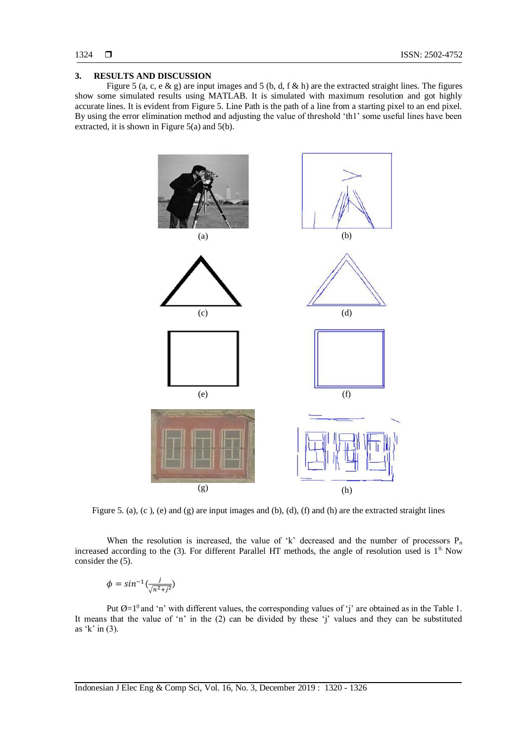#### **3. RESULTS AND DISCUSSION**

Figure 5 (a, c, e & g) are input images and 5 (b, d, f & h) are the extracted straight lines. The figures show some simulated results using MATLAB. It is simulated with maximum resolution and got highly accurate lines. It is evident from Figure 5. Line Path is the path of a line from a starting pixel to an end pixel. By using the error elimination method and adjusting the value of threshold 'th1' some useful lines have been extracted, it is shown in Figure  $5(a)$  and  $5(b)$ .



Figure 5. (a), (c), (e) and (g) are input images and (b), (d), (f) and (h) are the extracted straight lines

When the resolution is increased, the value of 'k' decreased and the number of processors  $P_n$ increased according to the  $(3)$ . For different Parallel HT methods, the angle of resolution used is  $1<sup>0</sup>$ . Now consider the (5).

$$
\phi = \sin^{-1}\left(\frac{j}{\sqrt{n^2 + j^2}}\right)
$$

Put  $\emptyset = 1^0$  and 'n' with different values, the corresponding values of 'j' are obtained as in the Table 1. It means that the value of 'n' in the (2) can be divided by these 'j' values and they can be substituted as  $k'$  in (3).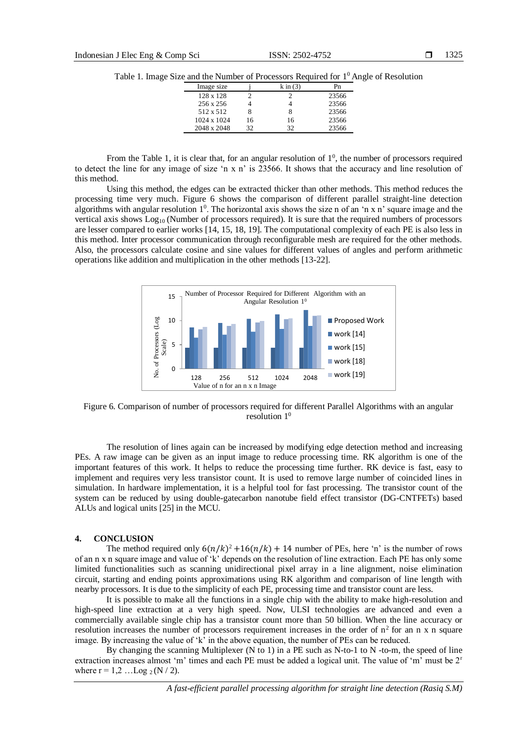|  | Table 1. Image Size and the Number of Processors Required for $1^0$ Angle of Resolution |
|--|-----------------------------------------------------------------------------------------|
|  |                                                                                         |

| Image size       |    | $k \in (3)$ |       |
|------------------|----|-------------|-------|
| $128 \times 128$ |    |             | 23566 |
| 256 x 256        |    |             | 23566 |
| 512 x 512        |    |             | 23566 |
| 1024 x 1024      | 16 | 16          | 23566 |
| 2048 x 2048      | 32 | 32          | 23566 |

From the Table 1, it is clear that, for an angular resolution of  $1<sup>0</sup>$ , the number of processors required to detect the line for any image of size 'n x n' is 23566. It shows that the accuracy and line resolution of this method.

Using this method, the edges can be extracted thicker than other methods. This method reduces the processing time very much. Figure 6 shows the comparison of different parallel straight-line detection algorithms with angular resolution  $1^0$ . The horizontal axis shows the size n of an 'n x n' square image and the vertical axis shows  $Log_{10}$  (Number of processors required). It is sure that the required numbers of processors are lesser compared to earlier works [14, 15, 18, 19]. The computational complexity of each PE is also less in this method. Inter processor communication through reconfigurable mesh are required for the other methods. Also, the processors calculate cosine and sine values for different values of angles and perform arithmetic operations like addition and multiplication in the other methods [13-22].



Figure 6. Comparison of number of processors required for different Parallel Algorithms with an angular resolution 1<sup>0</sup>

The resolution of lines again can be increased by modifying edge detection method and increasing PEs. A raw image can be given as an input image to reduce processing time. RK algorithm is one of the important features of this work. It helps to reduce the processing time further. RK device is fast, easy to implement and requires very less transistor count. It is used to remove large number of coincided lines in simulation. In hardware implementation, it is a helpful tool for fast processing. The transistor count of the system can be reduced by using double-gatecarbon nanotube field effect transistor (DG-CNTFETs) based ALUs and logical units [25] in the MCU.

#### **4. CONCLUSION**

The method required only  $6(n/k)^2 + 16(n/k) + 14$  number of PEs, here 'n' is the number of rows of an n x n square image and value of 'k' depends on the resolution of line extraction. Each PE has only some limited functionalities such as scanning unidirectional pixel array in a line alignment, noise elimination circuit, starting and ending points approximations using RK algorithm and comparison of line length with nearby processors. It is due to the simplicity of each PE, processing time and transistor count are less.

It is possible to make all the functions in a single chip with the ability to make high-resolution and high-speed line extraction at a very high speed. Now, ULSI technologies are advanced and even a commercially available single chip has a transistor count more than 50 billion. When the line accuracy or resolution increases the number of processors requirement increases in the order of  $n^2$  for an n x n square image. By increasing the value of 'k' in the above equation, the number of PEs can be reduced.

By changing the scanning Multiplexer (N to 1) in a PE such as N-to-1 to N -to-m, the speed of line extraction increases almost 'm' times and each PE must be added a logical unit. The value of 'm' must be 2<sup>r</sup> where  $r = 1,2...$  Log  $_2$  (N / 2).